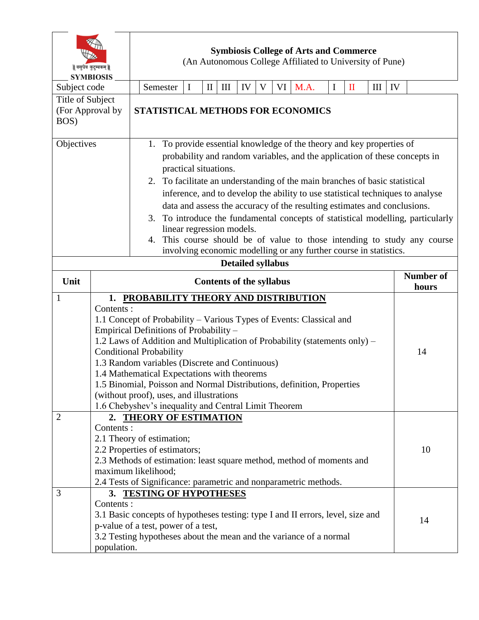| वसुधैव कुटुम्बकम्   <br><b>SYMBIOSIS</b> |                                                                                                                                                                                                                                                                                                                                                                                                                                                                                                                           | <b>Symbiosis College of Arts and Commerce</b><br>(An Autonomous College Affiliated to University of Pune)                                                                                                                                                                                                                                                                                                                                                                                                       |                                                                                                                                                                                                                          |          |              |     |    |   |  |         |                           |              |     |    |    |
|------------------------------------------|---------------------------------------------------------------------------------------------------------------------------------------------------------------------------------------------------------------------------------------------------------------------------------------------------------------------------------------------------------------------------------------------------------------------------------------------------------------------------------------------------------------------------|-----------------------------------------------------------------------------------------------------------------------------------------------------------------------------------------------------------------------------------------------------------------------------------------------------------------------------------------------------------------------------------------------------------------------------------------------------------------------------------------------------------------|--------------------------------------------------------------------------------------------------------------------------------------------------------------------------------------------------------------------------|----------|--------------|-----|----|---|--|---------|---------------------------|--------------|-----|----|----|
| Subject code                             |                                                                                                                                                                                                                                                                                                                                                                                                                                                                                                                           |                                                                                                                                                                                                                                                                                                                                                                                                                                                                                                                 | Semester                                                                                                                                                                                                                 | $\bf{I}$ | $\mathbf{I}$ | III | IV | V |  | VI M.A. | $\bf{I}$                  | $\mathbf{I}$ | III | IV |    |
| Title of Subject                         |                                                                                                                                                                                                                                                                                                                                                                                                                                                                                                                           |                                                                                                                                                                                                                                                                                                                                                                                                                                                                                                                 |                                                                                                                                                                                                                          |          |              |     |    |   |  |         |                           |              |     |    |    |
| (For Approval by<br>BOS)                 |                                                                                                                                                                                                                                                                                                                                                                                                                                                                                                                           | STATISTICAL METHODS FOR ECONOMICS                                                                                                                                                                                                                                                                                                                                                                                                                                                                               |                                                                                                                                                                                                                          |          |              |     |    |   |  |         |                           |              |     |    |    |
| Objectives                               |                                                                                                                                                                                                                                                                                                                                                                                                                                                                                                                           | 1. To provide essential knowledge of the theory and key properties of<br>probability and random variables, and the application of these concepts in<br>practical situations.<br>2. To facilitate an understanding of the main branches of basic statistical<br>inference, and to develop the ability to use statistical techniques to analyse<br>data and assess the accuracy of the resulting estimates and conclusions.<br>To introduce the fundamental concepts of statistical modelling, particularly<br>3. |                                                                                                                                                                                                                          |          |              |     |    |   |  |         |                           |              |     |    |    |
|                                          |                                                                                                                                                                                                                                                                                                                                                                                                                                                                                                                           |                                                                                                                                                                                                                                                                                                                                                                                                                                                                                                                 | linear regression models.<br>4. This course should be of value to those intending to study any course<br>involving economic modelling or any further course in statistics.                                               |          |              |     |    |   |  |         |                           |              |     |    |    |
| <b>Detailed syllabus</b>                 |                                                                                                                                                                                                                                                                                                                                                                                                                                                                                                                           |                                                                                                                                                                                                                                                                                                                                                                                                                                                                                                                 |                                                                                                                                                                                                                          |          |              |     |    |   |  |         |                           |              |     |    |    |
| Unit                                     |                                                                                                                                                                                                                                                                                                                                                                                                                                                                                                                           | <b>Contents of the syllabus</b>                                                                                                                                                                                                                                                                                                                                                                                                                                                                                 |                                                                                                                                                                                                                          |          |              |     |    |   |  |         | <b>Number of</b><br>hours |              |     |    |    |
| 1                                        |                                                                                                                                                                                                                                                                                                                                                                                                                                                                                                                           |                                                                                                                                                                                                                                                                                                                                                                                                                                                                                                                 | 1. PROBABILITY THEORY AND DISTRIBUTION                                                                                                                                                                                   |          |              |     |    |   |  |         |                           |              |     |    |    |
|                                          | Contents:<br>1.1 Concept of Probability – Various Types of Events: Classical and<br>Empirical Definitions of Probability -<br>1.2 Laws of Addition and Multiplication of Probability (statements only) –<br><b>Conditional Probability</b><br>1.3 Random variables (Discrete and Continuous)<br>1.4 Mathematical Expectations with theorems<br>1.5 Binomial, Poisson and Normal Distributions, definition, Properties<br>(without proof), uses, and illustrations<br>1.6 Chebyshev's inequality and Central Limit Theorem |                                                                                                                                                                                                                                                                                                                                                                                                                                                                                                                 |                                                                                                                                                                                                                          |          |              |     |    |   |  | 14      |                           |              |     |    |    |
| $\overline{2}$                           | 2. THEORY OF ESTIMATION<br>Contents:<br>2.1 Theory of estimation;<br>2.2 Properties of estimators;<br>2.3 Methods of estimation: least square method, method of moments and<br>maximum likelihood;<br>2.4 Tests of Significance: parametric and nonparametric methods.                                                                                                                                                                                                                                                    |                                                                                                                                                                                                                                                                                                                                                                                                                                                                                                                 |                                                                                                                                                                                                                          |          |              |     |    |   |  | 10      |                           |              |     |    |    |
| 3                                        | Contents:<br>population.                                                                                                                                                                                                                                                                                                                                                                                                                                                                                                  |                                                                                                                                                                                                                                                                                                                                                                                                                                                                                                                 | 3. TESTING OF HYPOTHESES<br>3.1 Basic concepts of hypotheses testing: type I and II errors, level, size and<br>p-value of a test, power of a test,<br>3.2 Testing hypotheses about the mean and the variance of a normal |          |              |     |    |   |  |         |                           |              |     |    | 14 |